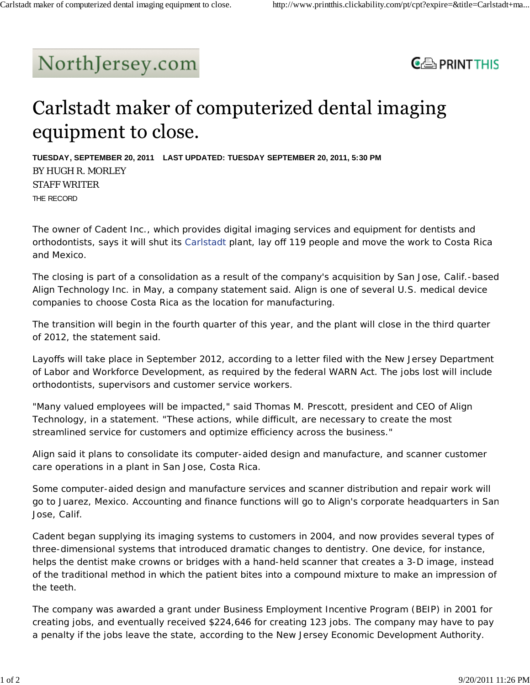## NorthJersey.com



## Carlstadt maker of computerized dental imaging equipment to close.

**TUESDAY, SEPTEMBER 20, 2011 LAST UPDATED: TUESDAY SEPTEMBER 20, 2011, 5:30 PM** BY HUGH R. MORLEY STAFF WRITER THE RECORD

The owner of Cadent Inc., which provides digital imaging services and equipment for dentists and orthodontists, says it will shut its Carlstadt plant, lay off 119 people and move the work to Costa Rica and Mexico.

The closing is part of a consolidation as a result of the company's acquisition by San Jose, Calif.-based Align Technology Inc. in May, a company statement said. Align is one of several U.S. medical device companies to choose Costa Rica as the location for manufacturing.

The transition will begin in the fourth quarter of this year, and the plant will close in the third quarter of 2012, the statement said.

Layoffs will take place in September 2012, according to a letter filed with the New Jersey Department of Labor and Workforce Development, as required by the federal WARN Act. The jobs lost will include orthodontists, supervisors and customer service workers.

"Many valued employees will be impacted," said Thomas M. Prescott, president and CEO of Align Technology, in a statement. "These actions, while difficult, are necessary to create the most streamlined service for customers and optimize efficiency across the business."

Align said it plans to consolidate its computer-aided design and manufacture, and scanner customer care operations in a plant in San Jose, Costa Rica.

Some computer-aided design and manufacture services and scanner distribution and repair work will go to Juarez, Mexico. Accounting and finance functions will go to Align's corporate headquarters in San Jose, Calif.

Cadent began supplying its imaging systems to customers in 2004, and now provides several types of three-dimensional systems that introduced dramatic changes to dentistry. One device, for instance, helps the dentist make crowns or bridges with a hand-held scanner that creates a 3-D image, instead of the traditional method in which the patient bites into a compound mixture to make an impression of the teeth.

The company was awarded a grant under Business Employment Incentive Program (BEIP) in 2001 for creating jobs, and eventually received \$224,646 for creating 123 jobs. The company may have to pay a penalty if the jobs leave the state, according to the New Jersey Economic Development Authority.